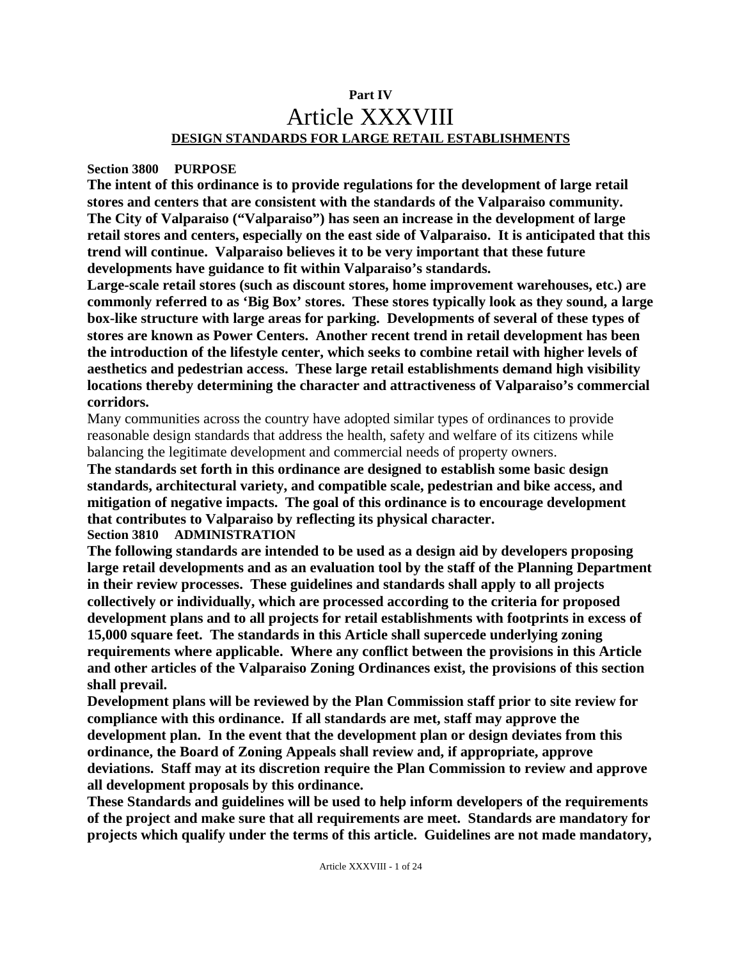## **Part IV**  Article XXXVIII **DESIGN STANDARDS FOR LARGE RETAIL ESTABLISHMENTS**

#### **Section 3800 PURPOSE**

**The intent of this ordinance is to provide regulations for the development of large retail stores and centers that are consistent with the standards of the Valparaiso community. The City of Valparaiso ("Valparaiso") has seen an increase in the development of large retail stores and centers, especially on the east side of Valparaiso. It is anticipated that this trend will continue. Valparaiso believes it to be very important that these future developments have guidance to fit within Valparaiso's standards.** 

**Large-scale retail stores (such as discount stores, home improvement warehouses, etc.) are commonly referred to as 'Big Box' stores. These stores typically look as they sound, a large box-like structure with large areas for parking. Developments of several of these types of stores are known as Power Centers. Another recent trend in retail development has been the introduction of the lifestyle center, which seeks to combine retail with higher levels of aesthetics and pedestrian access. These large retail establishments demand high visibility locations thereby determining the character and attractiveness of Valparaiso's commercial corridors.** 

Many communities across the country have adopted similar types of ordinances to provide reasonable design standards that address the health, safety and welfare of its citizens while balancing the legitimate development and commercial needs of property owners.

**The standards set forth in this ordinance are designed to establish some basic design standards, architectural variety, and compatible scale, pedestrian and bike access, and mitigation of negative impacts. The goal of this ordinance is to encourage development that contributes to Valparaiso by reflecting its physical character. Section 3810 ADMINISTRATION** 

**The following standards are intended to be used as a design aid by developers proposing large retail developments and as an evaluation tool by the staff of the Planning Department in their review processes. These guidelines and standards shall apply to all projects collectively or individually, which are processed according to the criteria for proposed development plans and to all projects for retail establishments with footprints in excess of 15,000 square feet. The standards in this Article shall supercede underlying zoning requirements where applicable. Where any conflict between the provisions in this Article and other articles of the Valparaiso Zoning Ordinances exist, the provisions of this section shall prevail.** 

**Development plans will be reviewed by the Plan Commission staff prior to site review for compliance with this ordinance. If all standards are met, staff may approve the development plan. In the event that the development plan or design deviates from this ordinance, the Board of Zoning Appeals shall review and, if appropriate, approve deviations. Staff may at its discretion require the Plan Commission to review and approve all development proposals by this ordinance.** 

**These Standards and guidelines will be used to help inform developers of the requirements of the project and make sure that all requirements are meet. Standards are mandatory for projects which qualify under the terms of this article. Guidelines are not made mandatory,**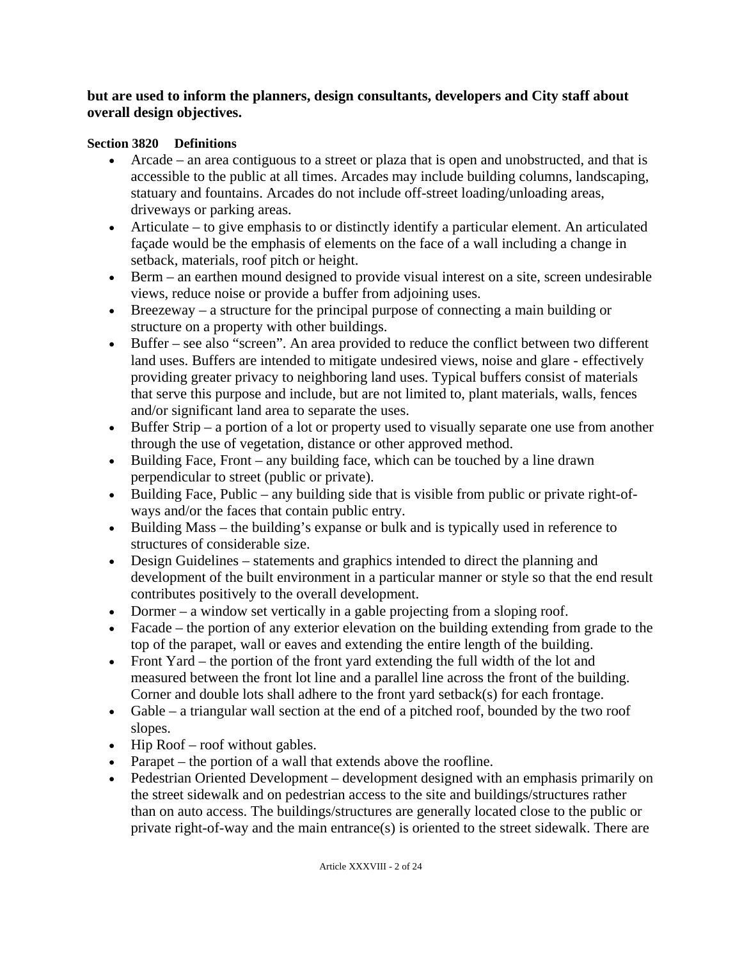## **but are used to inform the planners, design consultants, developers and City staff about overall design objectives.**

## **Section 3820 Definitions**

- Arcade an area contiguous to a street or plaza that is open and unobstructed, and that is accessible to the public at all times. Arcades may include building columns, landscaping, statuary and fountains. Arcades do not include off-street loading/unloading areas, driveways or parking areas.
- Articulate to give emphasis to or distinctly identify a particular element. An articulated façade would be the emphasis of elements on the face of a wall including a change in setback, materials, roof pitch or height.
- Berm an earthen mound designed to provide visual interest on a site, screen undesirable views, reduce noise or provide a buffer from adjoining uses.
- Breezeway a structure for the principal purpose of connecting a main building or structure on a property with other buildings.
- Buffer see also "screen". An area provided to reduce the conflict between two different land uses. Buffers are intended to mitigate undesired views, noise and glare - effectively providing greater privacy to neighboring land uses. Typical buffers consist of materials that serve this purpose and include, but are not limited to, plant materials, walls, fences and/or significant land area to separate the uses.
- Buffer Strip a portion of a lot or property used to visually separate one use from another through the use of vegetation, distance or other approved method.
- Building Face, Front any building face, which can be touched by a line drawn perpendicular to street (public or private).
- Building Face, Public any building side that is visible from public or private right-ofways and/or the faces that contain public entry.
- Building Mass the building's expanse or bulk and is typically used in reference to structures of considerable size.
- Design Guidelines statements and graphics intended to direct the planning and development of the built environment in a particular manner or style so that the end result contributes positively to the overall development.
- Dormer a window set vertically in a gable projecting from a sloping roof.
- Facade the portion of any exterior elevation on the building extending from grade to the top of the parapet, wall or eaves and extending the entire length of the building.
- Front Yard the portion of the front yard extending the full width of the lot and measured between the front lot line and a parallel line across the front of the building. Corner and double lots shall adhere to the front yard setback(s) for each frontage.
- Gable a triangular wall section at the end of a pitched roof, bounded by the two roof slopes.
- Hip Roof roof without gables.
- Parapet the portion of a wall that extends above the roofline.
- Pedestrian Oriented Development development designed with an emphasis primarily on the street sidewalk and on pedestrian access to the site and buildings/structures rather than on auto access. The buildings/structures are generally located close to the public or private right-of-way and the main entrance(s) is oriented to the street sidewalk. There are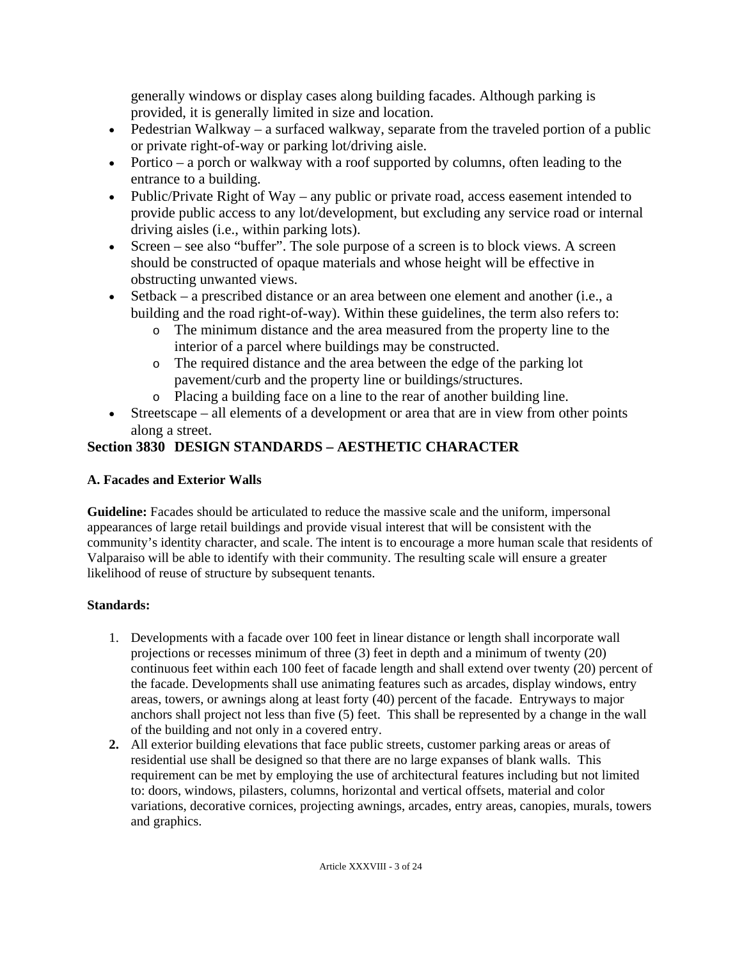generally windows or display cases along building facades. Although parking is provided, it is generally limited in size and location.

- Pedestrian Walkway a surfaced walkway, separate from the traveled portion of a public or private right-of-way or parking lot/driving aisle.
- Portico a porch or walkway with a roof supported by columns, often leading to the entrance to a building.
- Public/Private Right of Way any public or private road, access easement intended to provide public access to any lot/development, but excluding any service road or internal driving aisles (i.e., within parking lots).
- Screen see also "buffer". The sole purpose of a screen is to block views. A screen should be constructed of opaque materials and whose height will be effective in obstructing unwanted views.
- Setback a prescribed distance or an area between one element and another (i.e., a building and the road right-of-way). Within these guidelines, the term also refers to:
	- o The minimum distance and the area measured from the property line to the interior of a parcel where buildings may be constructed.
	- o The required distance and the area between the edge of the parking lot pavement/curb and the property line or buildings/structures.
	- o Placing a building face on a line to the rear of another building line.
- Streetscape all elements of a development or area that are in view from other points along a street.

# **Section 3830 DESIGN STANDARDS – AESTHETIC CHARACTER**

## **A. Facades and Exterior Walls**

**Guideline:** Facades should be articulated to reduce the massive scale and the uniform, impersonal appearances of large retail buildings and provide visual interest that will be consistent with the community's identity character, and scale. The intent is to encourage a more human scale that residents of Valparaiso will be able to identify with their community. The resulting scale will ensure a greater likelihood of reuse of structure by subsequent tenants.

- 1. Developments with a facade over 100 feet in linear distance or length shall incorporate wall projections or recesses minimum of three (3) feet in depth and a minimum of twenty (20) continuous feet within each 100 feet of facade length and shall extend over twenty (20) percent of the facade. Developments shall use animating features such as arcades, display windows, entry areas, towers, or awnings along at least forty (40) percent of the facade. Entryways to major anchors shall project not less than five (5) feet. This shall be represented by a change in the wall of the building and not only in a covered entry.
- **2.** All exterior building elevations that face public streets, customer parking areas or areas of residential use shall be designed so that there are no large expanses of blank walls. This requirement can be met by employing the use of architectural features including but not limited to: doors, windows, pilasters, columns, horizontal and vertical offsets, material and color variations, decorative cornices, projecting awnings, arcades, entry areas, canopies, murals, towers and graphics.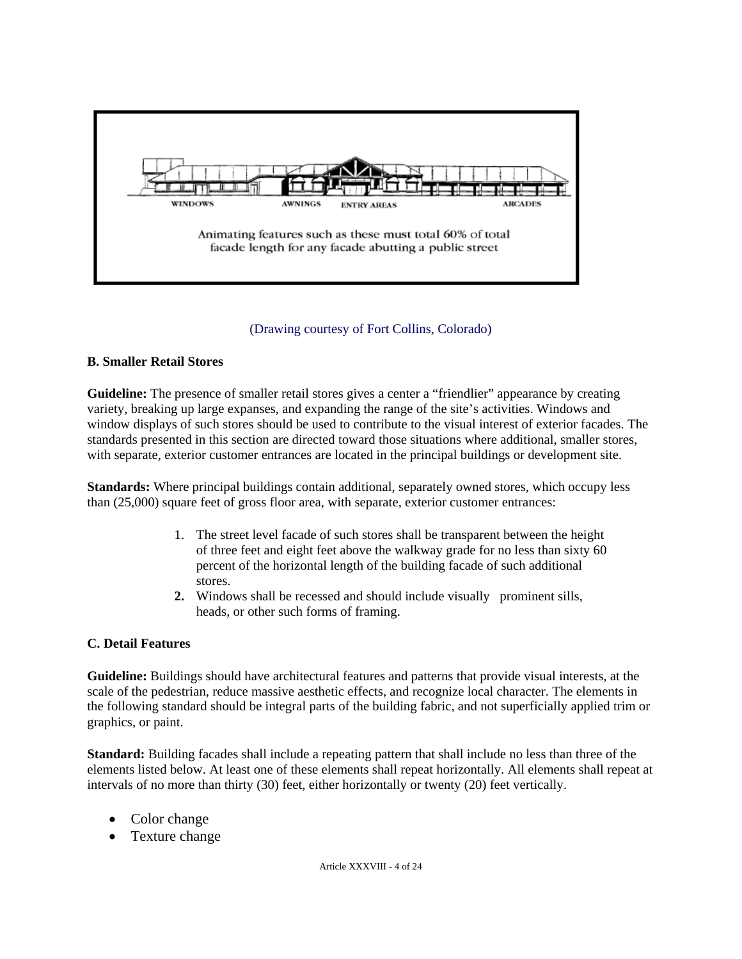

#### (Drawing courtesy of Fort Collins, Colorado)

#### **B. Smaller Retail Stores**

Guideline: The presence of smaller retail stores gives a center a "friendlier" appearance by creating variety, breaking up large expanses, and expanding the range of the site's activities. Windows and window displays of such stores should be used to contribute to the visual interest of exterior facades. The standards presented in this section are directed toward those situations where additional, smaller stores, with separate, exterior customer entrances are located in the principal buildings or development site.

**Standards:** Where principal buildings contain additional, separately owned stores, which occupy less than (25,000) square feet of gross floor area, with separate, exterior customer entrances:

- 1. The street level facade of such stores shall be transparent between the height of three feet and eight feet above the walkway grade for no less than sixty 60 percent of the horizontal length of the building facade of such additional stores.
- **2.** Windows shall be recessed and should include visually prominent sills, heads, or other such forms of framing.

#### **C. Detail Features**

**Guideline:** Buildings should have architectural features and patterns that provide visual interests, at the scale of the pedestrian, reduce massive aesthetic effects, and recognize local character. The elements in the following standard should be integral parts of the building fabric, and not superficially applied trim or graphics, or paint.

**Standard:** Building facades shall include a repeating pattern that shall include no less than three of the elements listed below. At least one of these elements shall repeat horizontally. All elements shall repeat at intervals of no more than thirty (30) feet, either horizontally or twenty (20) feet vertically.

- Color change
- Texture change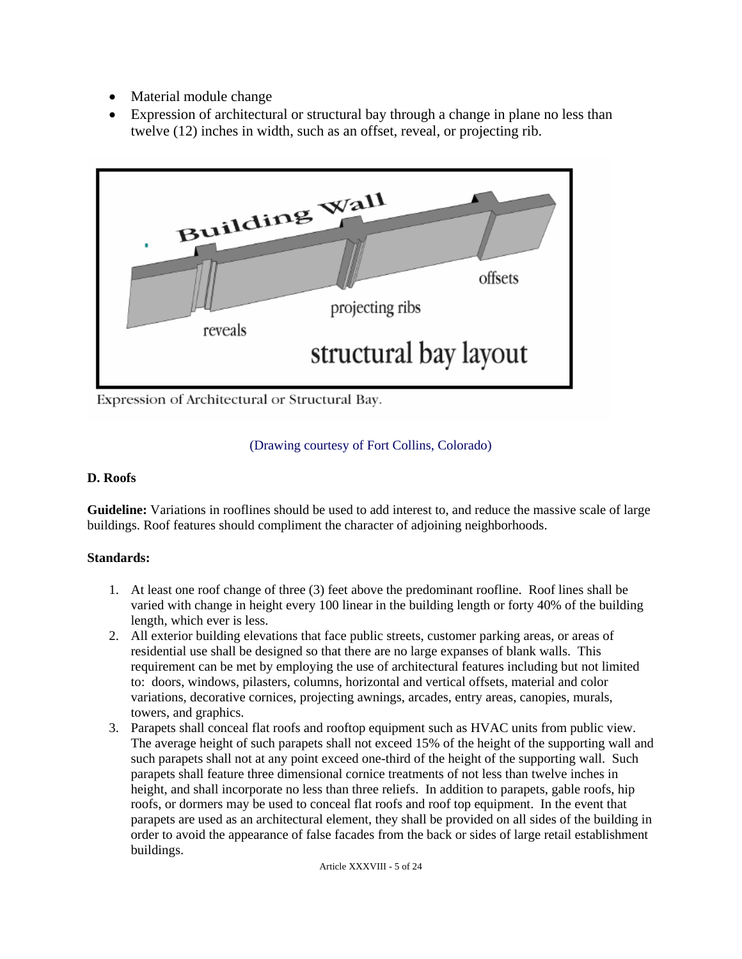- Material module change
- Expression of architectural or structural bay through a change in plane no less than twelve (12) inches in width, such as an offset, reveal, or projecting rib.



Expression of Architectural or Structural Bay.

## (Drawing courtesy of Fort Collins, Colorado)

#### **D. Roofs**

**Guideline:** Variations in rooflines should be used to add interest to, and reduce the massive scale of large buildings. Roof features should compliment the character of adjoining neighborhoods.

- 1. At least one roof change of three (3) feet above the predominant roofline. Roof lines shall be varied with change in height every 100 linear in the building length or forty 40% of the building length, which ever is less.
- 2. All exterior building elevations that face public streets, customer parking areas, or areas of residential use shall be designed so that there are no large expanses of blank walls. This requirement can be met by employing the use of architectural features including but not limited to: doors, windows, pilasters, columns, horizontal and vertical offsets, material and color variations, decorative cornices, projecting awnings, arcades, entry areas, canopies, murals, towers, and graphics.
- 3. Parapets shall conceal flat roofs and rooftop equipment such as HVAC units from public view. The average height of such parapets shall not exceed 15% of the height of the supporting wall and such parapets shall not at any point exceed one-third of the height of the supporting wall. Such parapets shall feature three dimensional cornice treatments of not less than twelve inches in height, and shall incorporate no less than three reliefs. In addition to parapets, gable roofs, hip roofs, or dormers may be used to conceal flat roofs and roof top equipment. In the event that parapets are used as an architectural element, they shall be provided on all sides of the building in order to avoid the appearance of false facades from the back or sides of large retail establishment buildings.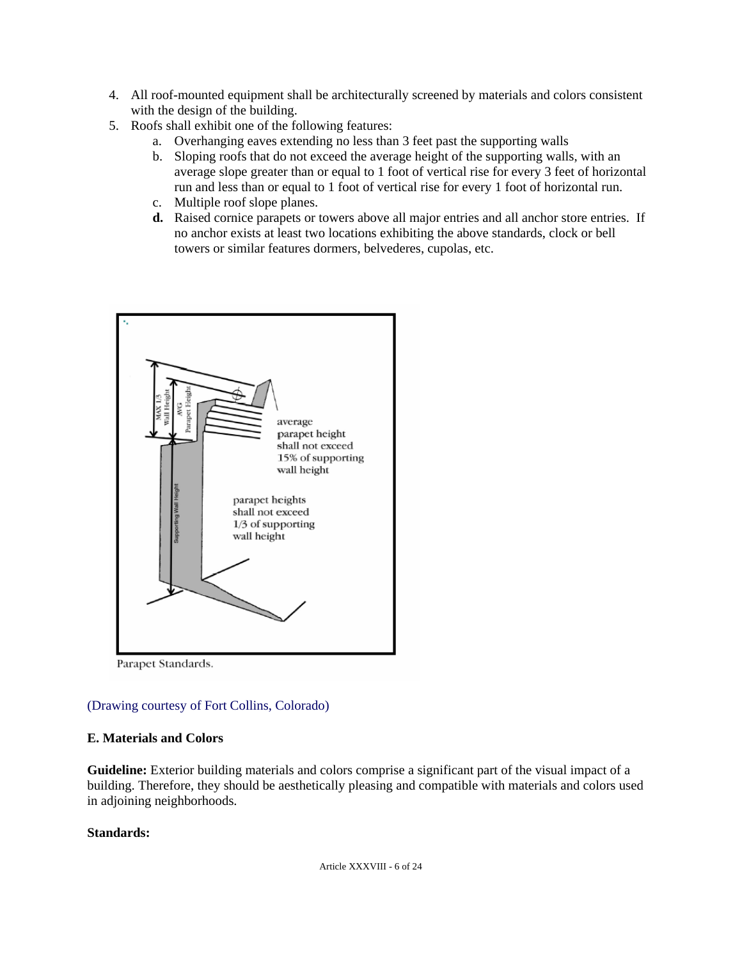- 4. All roof-mounted equipment shall be architecturally screened by materials and colors consistent with the design of the building.
- 5. Roofs shall exhibit one of the following features:
	- a. Overhanging eaves extending no less than 3 feet past the supporting walls
	- b. Sloping roofs that do not exceed the average height of the supporting walls, with an average slope greater than or equal to 1 foot of vertical rise for every 3 feet of horizontal run and less than or equal to 1 foot of vertical rise for every 1 foot of horizontal run.
	- c. Multiple roof slope planes.
	- **d.** Raised cornice parapets or towers above all major entries and all anchor store entries. If no anchor exists at least two locations exhibiting the above standards, clock or bell towers or similar features dormers, belvederes, cupolas, etc.



Parapet Standards.

## (Drawing courtesy of Fort Collins, Colorado)

#### **E. Materials and Colors**

**Guideline:** Exterior building materials and colors comprise a significant part of the visual impact of a building. Therefore, they should be aesthetically pleasing and compatible with materials and colors used in adjoining neighborhoods.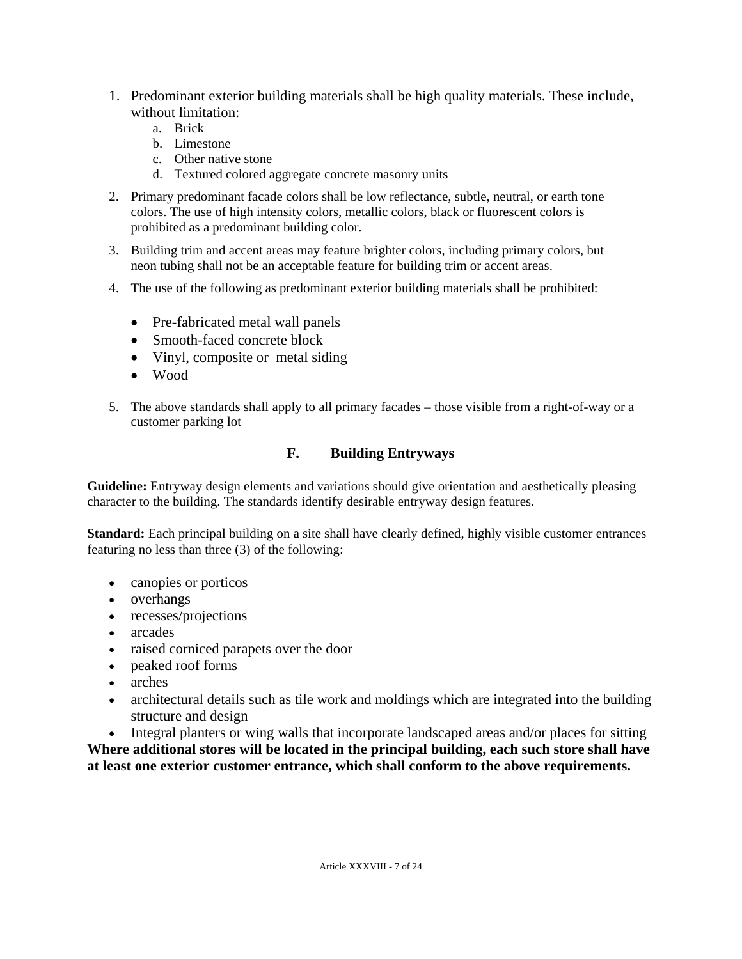- 1. Predominant exterior building materials shall be high quality materials. These include, without limitation:
	- a. Brick
	- b. Limestone
	- c. Other native stone
	- d. Textured colored aggregate concrete masonry units
- 2. Primary predominant facade colors shall be low reflectance, subtle, neutral, or earth tone colors. The use of high intensity colors, metallic colors, black or fluorescent colors is prohibited as a predominant building color.
- 3. Building trim and accent areas may feature brighter colors, including primary colors, but neon tubing shall not be an acceptable feature for building trim or accent areas.
- 4. The use of the following as predominant exterior building materials shall be prohibited:
	- Pre-fabricated metal wall panels
	- Smooth-faced concrete block
	- Vinyl, composite or metal siding
	- Wood
- 5. The above standards shall apply to all primary facades those visible from a right-of-way or a customer parking lot

## **F. Building Entryways**

Guideline: Entryway design elements and variations should give orientation and aesthetically pleasing character to the building. The standards identify desirable entryway design features.

**Standard:** Each principal building on a site shall have clearly defined, highly visible customer entrances featuring no less than three (3) of the following:

- canopies or porticos
- overhangs
- recesses/projections
- arcades
- raised corniced parapets over the door
- peaked roof forms
- arches
- architectural details such as tile work and moldings which are integrated into the building structure and design
- Integral planters or wing walls that incorporate landscaped areas and/or places for sitting

**Where additional stores will be located in the principal building, each such store shall have at least one exterior customer entrance, which shall conform to the above requirements.**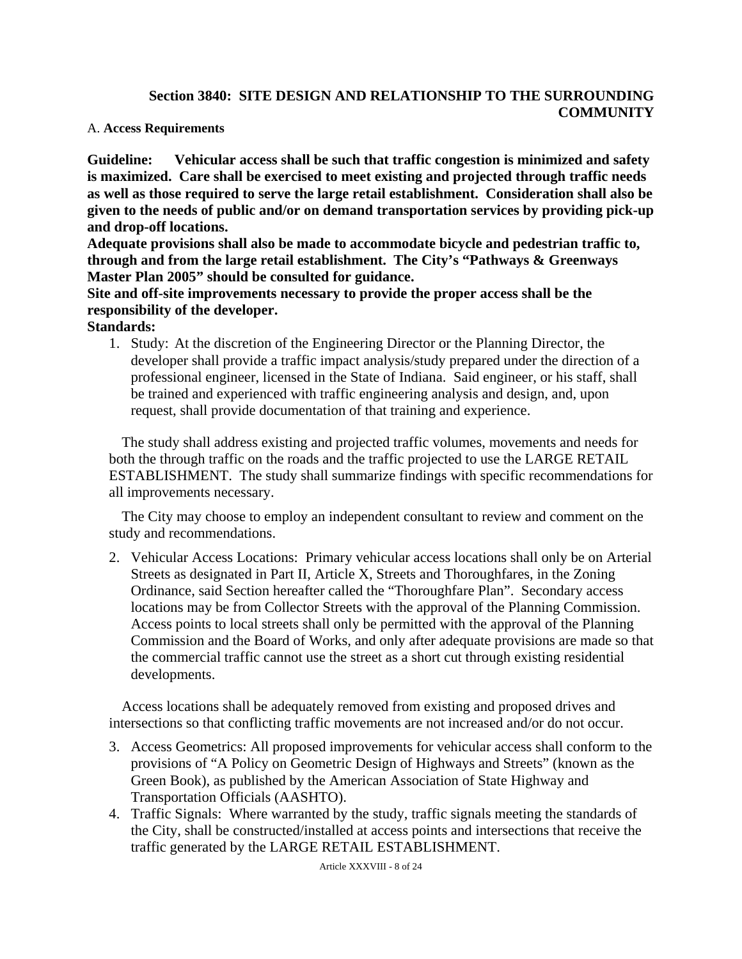## **Section 3840: SITE DESIGN AND RELATIONSHIP TO THE SURROUNDING COMMUNITY**

### A. **Access Requirements**

**Guideline: Vehicular access shall be such that traffic congestion is minimized and safety is maximized. Care shall be exercised to meet existing and projected through traffic needs as well as those required to serve the large retail establishment. Consideration shall also be given to the needs of public and/or on demand transportation services by providing pick-up and drop-off locations.** 

**Adequate provisions shall also be made to accommodate bicycle and pedestrian traffic to, through and from the large retail establishment. The City's "Pathways & Greenways Master Plan 2005" should be consulted for guidance.** 

**Site and off-site improvements necessary to provide the proper access shall be the responsibility of the developer.** 

**Standards:** 

1. Study: At the discretion of the Engineering Director or the Planning Director, the developer shall provide a traffic impact analysis/study prepared under the direction of a professional engineer, licensed in the State of Indiana. Said engineer, or his staff, shall be trained and experienced with traffic engineering analysis and design, and, upon request, shall provide documentation of that training and experience.

The study shall address existing and projected traffic volumes, movements and needs for both the through traffic on the roads and the traffic projected to use the LARGE RETAIL ESTABLISHMENT. The study shall summarize findings with specific recommendations for all improvements necessary.

The City may choose to employ an independent consultant to review and comment on the study and recommendations.

2. Vehicular Access Locations: Primary vehicular access locations shall only be on Arterial Streets as designated in Part II, Article X, Streets and Thoroughfares, in the Zoning Ordinance, said Section hereafter called the "Thoroughfare Plan". Secondary access locations may be from Collector Streets with the approval of the Planning Commission. Access points to local streets shall only be permitted with the approval of the Planning Commission and the Board of Works, and only after adequate provisions are made so that the commercial traffic cannot use the street as a short cut through existing residential developments.

Access locations shall be adequately removed from existing and proposed drives and intersections so that conflicting traffic movements are not increased and/or do not occur.

- 3. Access Geometrics: All proposed improvements for vehicular access shall conform to the provisions of "A Policy on Geometric Design of Highways and Streets" (known as the Green Book), as published by the American Association of State Highway and Transportation Officials (AASHTO).
- 4. Traffic Signals: Where warranted by the study, traffic signals meeting the standards of the City, shall be constructed/installed at access points and intersections that receive the traffic generated by the LARGE RETAIL ESTABLISHMENT.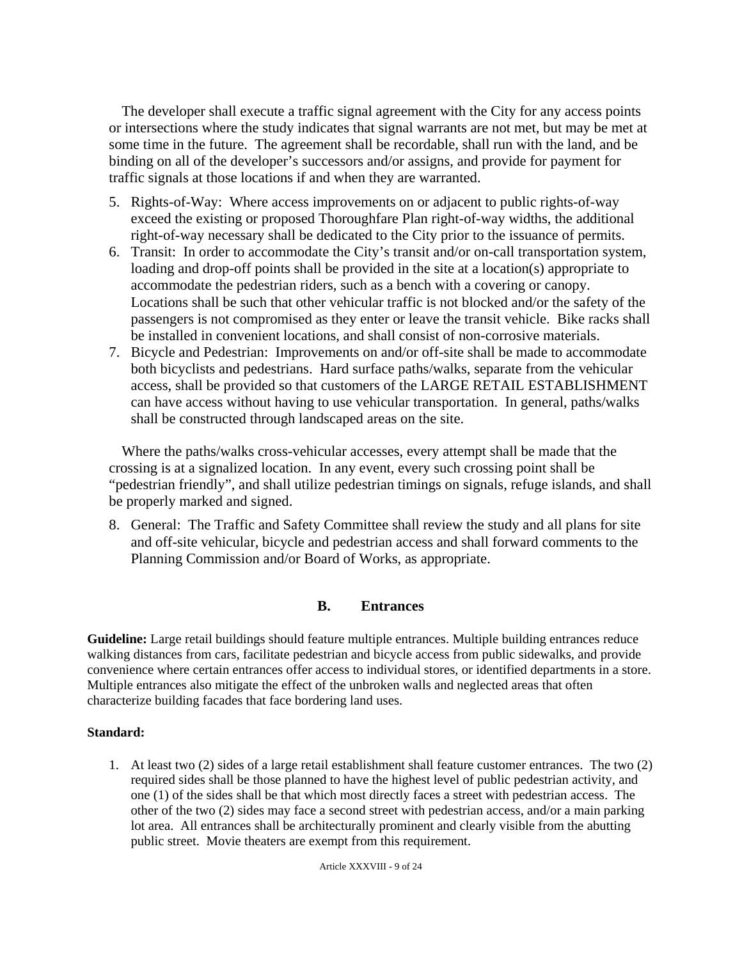The developer shall execute a traffic signal agreement with the City for any access points or intersections where the study indicates that signal warrants are not met, but may be met at some time in the future. The agreement shall be recordable, shall run with the land, and be binding on all of the developer's successors and/or assigns, and provide for payment for traffic signals at those locations if and when they are warranted.

- 5. Rights-of-Way: Where access improvements on or adjacent to public rights-of-way exceed the existing or proposed Thoroughfare Plan right-of-way widths, the additional right-of-way necessary shall be dedicated to the City prior to the issuance of permits.
- 6. Transit: In order to accommodate the City's transit and/or on-call transportation system, loading and drop-off points shall be provided in the site at a location(s) appropriate to accommodate the pedestrian riders, such as a bench with a covering or canopy. Locations shall be such that other vehicular traffic is not blocked and/or the safety of the passengers is not compromised as they enter or leave the transit vehicle. Bike racks shall be installed in convenient locations, and shall consist of non-corrosive materials.
- 7. Bicycle and Pedestrian: Improvements on and/or off-site shall be made to accommodate both bicyclists and pedestrians. Hard surface paths/walks, separate from the vehicular access, shall be provided so that customers of the LARGE RETAIL ESTABLISHMENT can have access without having to use vehicular transportation. In general, paths/walks shall be constructed through landscaped areas on the site.

Where the paths/walks cross-vehicular accesses, every attempt shall be made that the crossing is at a signalized location. In any event, every such crossing point shall be "pedestrian friendly", and shall utilize pedestrian timings on signals, refuge islands, and shall be properly marked and signed.

8. General: The Traffic and Safety Committee shall review the study and all plans for site and off-site vehicular, bicycle and pedestrian access and shall forward comments to the Planning Commission and/or Board of Works, as appropriate.

## **B. Entrances**

**Guideline:** Large retail buildings should feature multiple entrances. Multiple building entrances reduce walking distances from cars, facilitate pedestrian and bicycle access from public sidewalks, and provide convenience where certain entrances offer access to individual stores, or identified departments in a store. Multiple entrances also mitigate the effect of the unbroken walls and neglected areas that often characterize building facades that face bordering land uses.

#### **Standard:**

1. At least two (2) sides of a large retail establishment shall feature customer entrances. The two (2) required sides shall be those planned to have the highest level of public pedestrian activity, and one (1) of the sides shall be that which most directly faces a street with pedestrian access. The other of the two (2) sides may face a second street with pedestrian access, and/or a main parking lot area. All entrances shall be architecturally prominent and clearly visible from the abutting public street. Movie theaters are exempt from this requirement.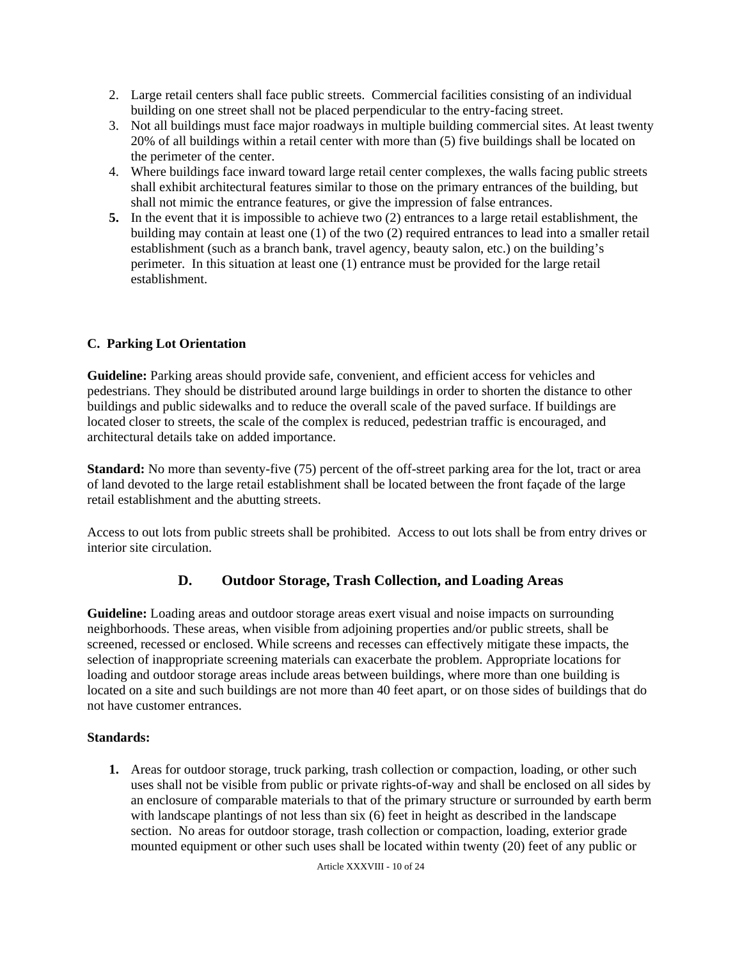- 2. Large retail centers shall face public streets. Commercial facilities consisting of an individual building on one street shall not be placed perpendicular to the entry-facing street.
- 3. Not all buildings must face major roadways in multiple building commercial sites. At least twenty 20% of all buildings within a retail center with more than (5) five buildings shall be located on the perimeter of the center.
- 4. Where buildings face inward toward large retail center complexes, the walls facing public streets shall exhibit architectural features similar to those on the primary entrances of the building, but shall not mimic the entrance features, or give the impression of false entrances.
- **5.** In the event that it is impossible to achieve two (2) entrances to a large retail establishment, the building may contain at least one (1) of the two (2) required entrances to lead into a smaller retail establishment (such as a branch bank, travel agency, beauty salon, etc.) on the building's perimeter. In this situation at least one (1) entrance must be provided for the large retail establishment.

## **C. Parking Lot Orientation**

**Guideline:** Parking areas should provide safe, convenient, and efficient access for vehicles and pedestrians. They should be distributed around large buildings in order to shorten the distance to other buildings and public sidewalks and to reduce the overall scale of the paved surface. If buildings are located closer to streets, the scale of the complex is reduced, pedestrian traffic is encouraged, and architectural details take on added importance.

**Standard:** No more than seventy-five (75) percent of the off-street parking area for the lot, tract or area of land devoted to the large retail establishment shall be located between the front façade of the large retail establishment and the abutting streets.

Access to out lots from public streets shall be prohibited. Access to out lots shall be from entry drives or interior site circulation.

## **D. Outdoor Storage, Trash Collection, and Loading Areas**

**Guideline:** Loading areas and outdoor storage areas exert visual and noise impacts on surrounding neighborhoods. These areas, when visible from adjoining properties and/or public streets, shall be screened, recessed or enclosed. While screens and recesses can effectively mitigate these impacts, the selection of inappropriate screening materials can exacerbate the problem. Appropriate locations for loading and outdoor storage areas include areas between buildings, where more than one building is located on a site and such buildings are not more than 40 feet apart, or on those sides of buildings that do not have customer entrances.

#### **Standards:**

**1.** Areas for outdoor storage, truck parking, trash collection or compaction, loading, or other such uses shall not be visible from public or private rights-of-way and shall be enclosed on all sides by an enclosure of comparable materials to that of the primary structure or surrounded by earth berm with landscape plantings of not less than six (6) feet in height as described in the landscape section. No areas for outdoor storage, trash collection or compaction, loading, exterior grade mounted equipment or other such uses shall be located within twenty (20) feet of any public or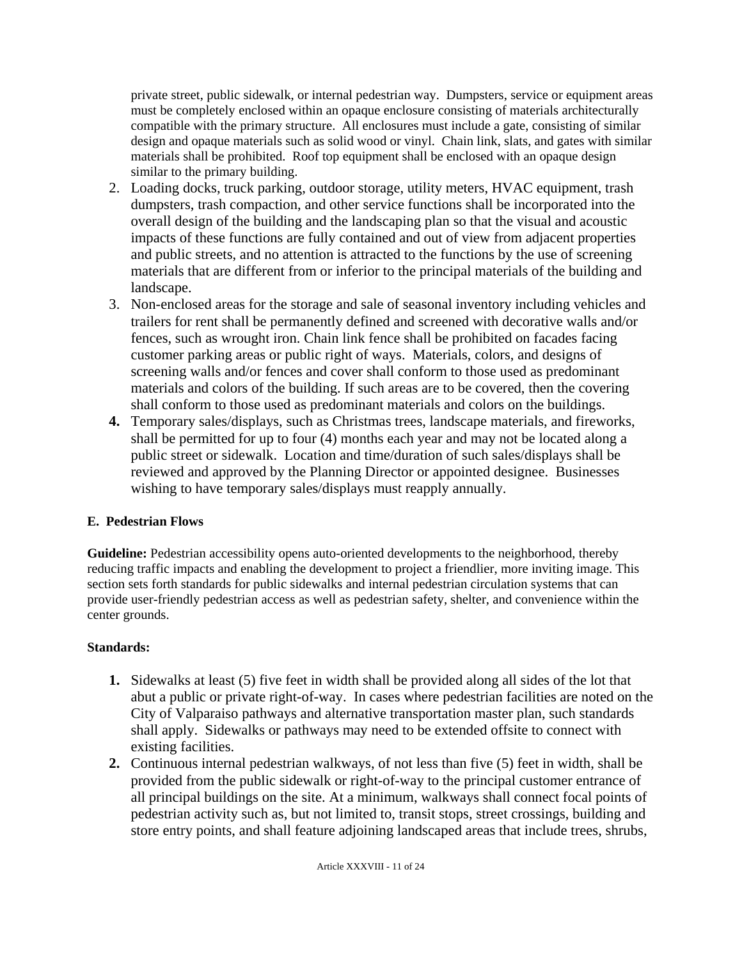private street, public sidewalk, or internal pedestrian way. Dumpsters, service or equipment areas must be completely enclosed within an opaque enclosure consisting of materials architecturally compatible with the primary structure. All enclosures must include a gate, consisting of similar design and opaque materials such as solid wood or vinyl. Chain link, slats, and gates with similar materials shall be prohibited. Roof top equipment shall be enclosed with an opaque design similar to the primary building.

- 2. Loading docks, truck parking, outdoor storage, utility meters, HVAC equipment, trash dumpsters, trash compaction, and other service functions shall be incorporated into the overall design of the building and the landscaping plan so that the visual and acoustic impacts of these functions are fully contained and out of view from adjacent properties and public streets, and no attention is attracted to the functions by the use of screening materials that are different from or inferior to the principal materials of the building and landscape.
- 3. Non-enclosed areas for the storage and sale of seasonal inventory including vehicles and trailers for rent shall be permanently defined and screened with decorative walls and/or fences, such as wrought iron. Chain link fence shall be prohibited on facades facing customer parking areas or public right of ways. Materials, colors, and designs of screening walls and/or fences and cover shall conform to those used as predominant materials and colors of the building. If such areas are to be covered, then the covering shall conform to those used as predominant materials and colors on the buildings.
- **4.** Temporary sales/displays, such as Christmas trees, landscape materials, and fireworks, shall be permitted for up to four (4) months each year and may not be located along a public street or sidewalk. Location and time/duration of such sales/displays shall be reviewed and approved by the Planning Director or appointed designee.Businesses wishing to have temporary sales/displays must reapply annually.

## **E. Pedestrian Flows**

Guideline: Pedestrian accessibility opens auto-oriented developments to the neighborhood, thereby reducing traffic impacts and enabling the development to project a friendlier, more inviting image. This section sets forth standards for public sidewalks and internal pedestrian circulation systems that can provide user-friendly pedestrian access as well as pedestrian safety, shelter, and convenience within the center grounds.

- **1.** Sidewalks at least (5) five feet in width shall be provided along all sides of the lot that abut a public or private right-of-way. In cases where pedestrian facilities are noted on the City of Valparaiso pathways and alternative transportation master plan, such standards shall apply. Sidewalks or pathways may need to be extended offsite to connect with existing facilities.
- **2.** Continuous internal pedestrian walkways, of not less than five (5) feet in width, shall be provided from the public sidewalk or right-of-way to the principal customer entrance of all principal buildings on the site. At a minimum, walkways shall connect focal points of pedestrian activity such as, but not limited to, transit stops, street crossings, building and store entry points, and shall feature adjoining landscaped areas that include trees, shrubs,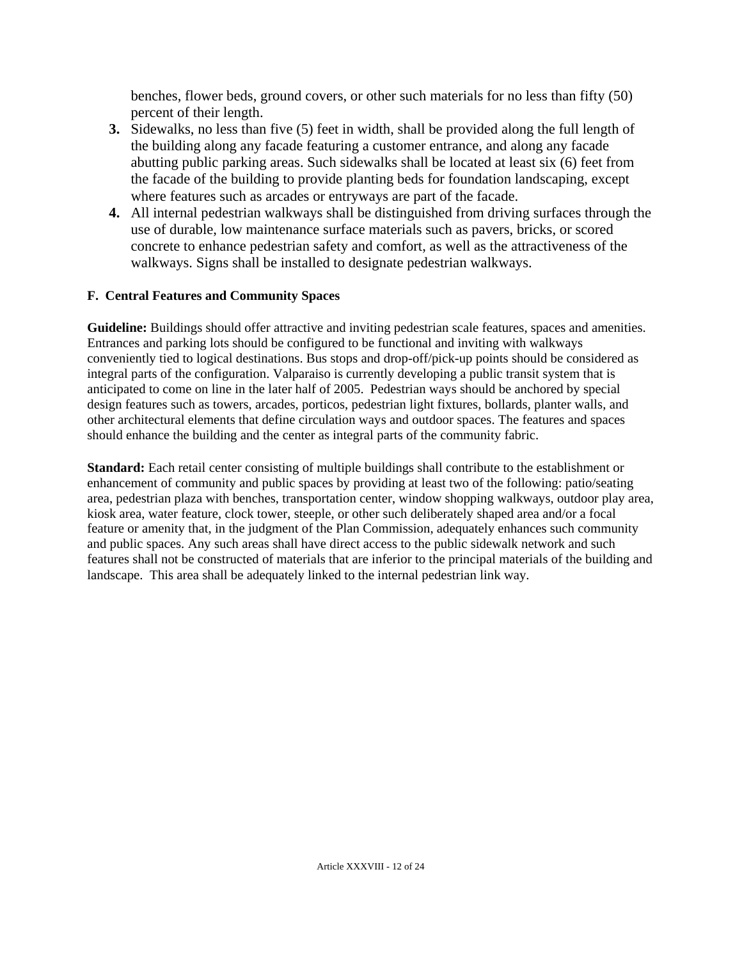benches, flower beds, ground covers, or other such materials for no less than fifty (50) percent of their length.

- **3.** Sidewalks, no less than five (5) feet in width, shall be provided along the full length of the building along any facade featuring a customer entrance, and along any facade abutting public parking areas. Such sidewalks shall be located at least six (6) feet from the facade of the building to provide planting beds for foundation landscaping, except where features such as arcades or entryways are part of the facade.
- **4.** All internal pedestrian walkways shall be distinguished from driving surfaces through the use of durable, low maintenance surface materials such as pavers, bricks, or scored concrete to enhance pedestrian safety and comfort, as well as the attractiveness of the walkways. Signs shall be installed to designate pedestrian walkways.

### **F. Central Features and Community Spaces**

**Guideline:** Buildings should offer attractive and inviting pedestrian scale features, spaces and amenities. Entrances and parking lots should be configured to be functional and inviting with walkways conveniently tied to logical destinations. Bus stops and drop-off/pick-up points should be considered as integral parts of the configuration. Valparaiso is currently developing a public transit system that is anticipated to come on line in the later half of 2005. Pedestrian ways should be anchored by special design features such as towers, arcades, porticos, pedestrian light fixtures, bollards, planter walls, and other architectural elements that define circulation ways and outdoor spaces. The features and spaces should enhance the building and the center as integral parts of the community fabric.

**Standard:** Each retail center consisting of multiple buildings shall contribute to the establishment or enhancement of community and public spaces by providing at least two of the following: patio/seating area, pedestrian plaza with benches, transportation center, window shopping walkways, outdoor play area, kiosk area, water feature, clock tower, steeple, or other such deliberately shaped area and/or a focal feature or amenity that, in the judgment of the Plan Commission, adequately enhances such community and public spaces. Any such areas shall have direct access to the public sidewalk network and such features shall not be constructed of materials that are inferior to the principal materials of the building and landscape. This area shall be adequately linked to the internal pedestrian link way.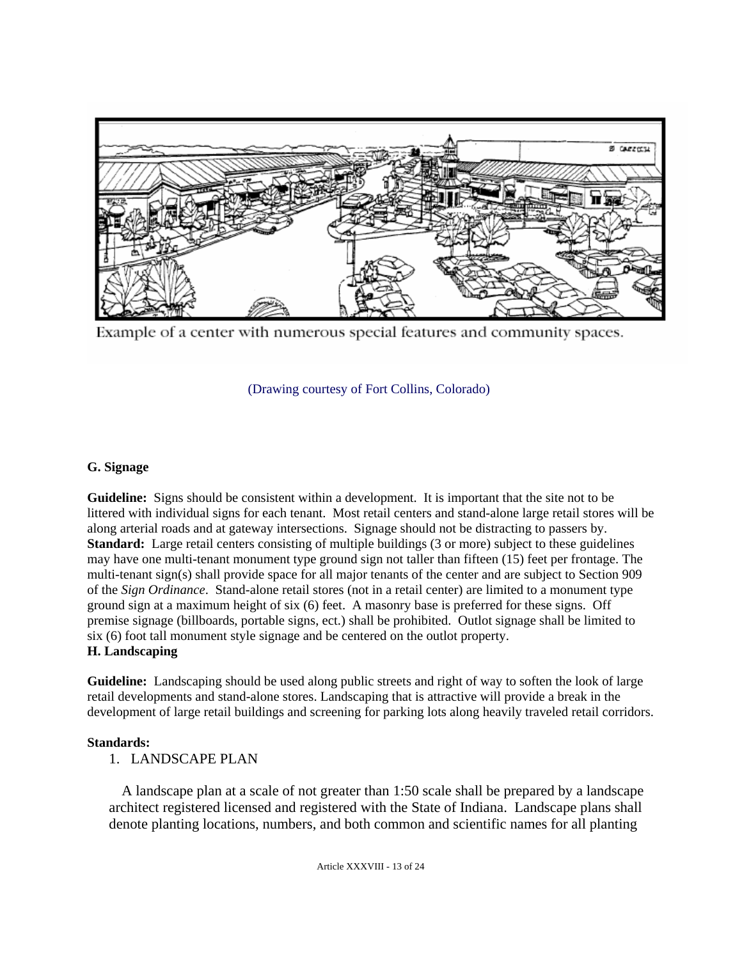

Example of a center with numerous special features and community spaces.

(Drawing courtesy of Fort Collins, Colorado)

## **G. Signage**

**Guideline:** Signs should be consistent within a development. It is important that the site not to be littered with individual signs for each tenant. Most retail centers and stand-alone large retail stores will be along arterial roads and at gateway intersections. Signage should not be distracting to passers by. **Standard:** Large retail centers consisting of multiple buildings (3 or more) subject to these guidelines may have one multi-tenant monument type ground sign not taller than fifteen (15) feet per frontage. The multi-tenant sign(s) shall provide space for all major tenants of the center and are subject to Section 909 of the *Sign Ordinance*. Stand-alone retail stores (not in a retail center) are limited to a monument type ground sign at a maximum height of six (6) feet. A masonry base is preferred for these signs. Off premise signage (billboards, portable signs, ect.) shall be prohibited. Outlot signage shall be limited to six (6) foot tall monument style signage and be centered on the outlot property. **H. Landscaping**

**Guideline:** Landscaping should be used along public streets and right of way to soften the look of large retail developments and stand-alone stores. Landscaping that is attractive will provide a break in the development of large retail buildings and screening for parking lots along heavily traveled retail corridors.

#### **Standards:**

1. LANDSCAPE PLAN

A landscape plan at a scale of not greater than 1:50 scale shall be prepared by a landscape architect registered licensed and registered with the State of Indiana. Landscape plans shall denote planting locations, numbers, and both common and scientific names for all planting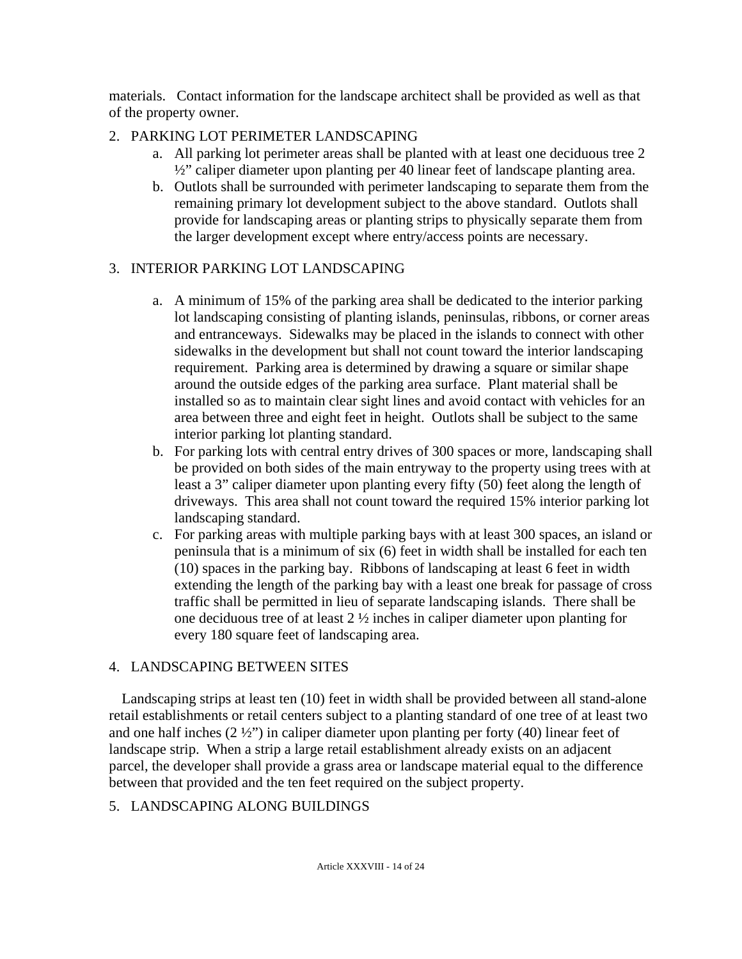materials. Contact information for the landscape architect shall be provided as well as that of the property owner.

## 2. PARKING LOT PERIMETER LANDSCAPING

- a. All parking lot perimeter areas shall be planted with at least one deciduous tree 2 ½" caliper diameter upon planting per 40 linear feet of landscape planting area.
- b. Outlots shall be surrounded with perimeter landscaping to separate them from the remaining primary lot development subject to the above standard. Outlots shall provide for landscaping areas or planting strips to physically separate them from the larger development except where entry/access points are necessary.

# 3. INTERIOR PARKING LOT LANDSCAPING

- a. A minimum of 15% of the parking area shall be dedicated to the interior parking lot landscaping consisting of planting islands, peninsulas, ribbons, or corner areas and entranceways. Sidewalks may be placed in the islands to connect with other sidewalks in the development but shall not count toward the interior landscaping requirement. Parking area is determined by drawing a square or similar shape around the outside edges of the parking area surface. Plant material shall be installed so as to maintain clear sight lines and avoid contact with vehicles for an area between three and eight feet in height. Outlots shall be subject to the same interior parking lot planting standard.
- b. For parking lots with central entry drives of 300 spaces or more, landscaping shall be provided on both sides of the main entryway to the property using trees with at least a 3" caliper diameter upon planting every fifty (50) feet along the length of driveways. This area shall not count toward the required 15% interior parking lot landscaping standard.
- c. For parking areas with multiple parking bays with at least 300 spaces, an island or peninsula that is a minimum of six (6) feet in width shall be installed for each ten (10) spaces in the parking bay. Ribbons of landscaping at least 6 feet in width extending the length of the parking bay with a least one break for passage of cross traffic shall be permitted in lieu of separate landscaping islands. There shall be one deciduous tree of at least 2 ½ inches in caliper diameter upon planting for every 180 square feet of landscaping area.

## 4. LANDSCAPING BETWEEN SITES

Landscaping strips at least ten (10) feet in width shall be provided between all stand-alone retail establishments or retail centers subject to a planting standard of one tree of at least two and one half inches  $(2 \frac{1}{2})$  in caliper diameter upon planting per forty (40) linear feet of landscape strip. When a strip a large retail establishment already exists on an adjacent parcel, the developer shall provide a grass area or landscape material equal to the difference between that provided and the ten feet required on the subject property.

# 5. LANDSCAPING ALONG BUILDINGS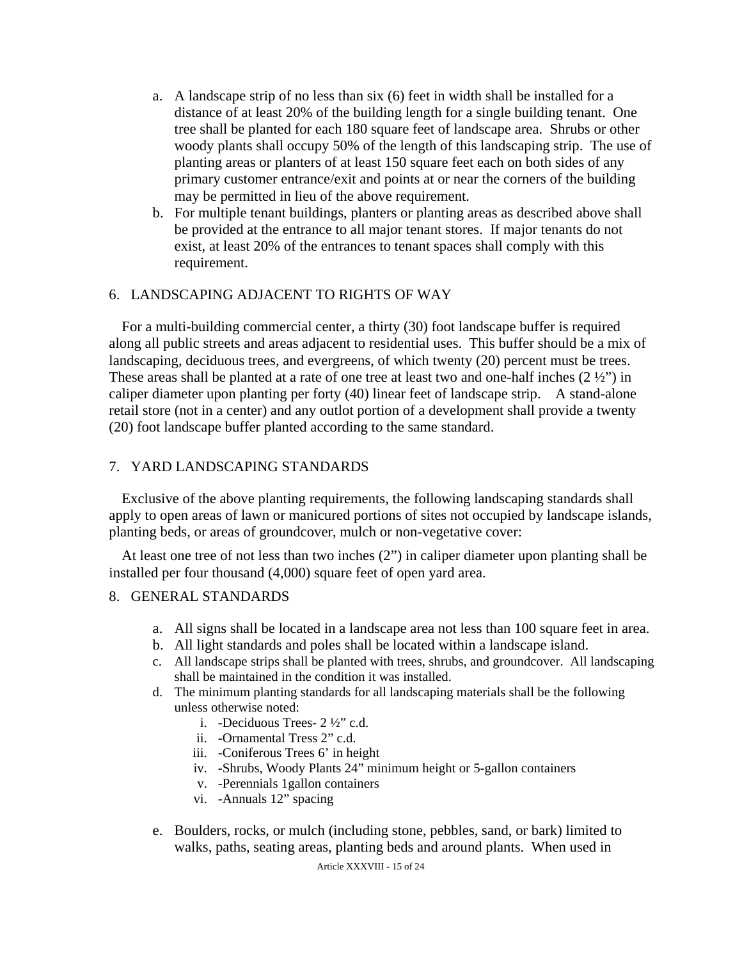- a. A landscape strip of no less than six (6) feet in width shall be installed for a distance of at least 20% of the building length for a single building tenant. One tree shall be planted for each 180 square feet of landscape area. Shrubs or other woody plants shall occupy 50% of the length of this landscaping strip. The use of planting areas or planters of at least 150 square feet each on both sides of any primary customer entrance/exit and points at or near the corners of the building may be permitted in lieu of the above requirement.
- b. For multiple tenant buildings, planters or planting areas as described above shall be provided at the entrance to all major tenant stores. If major tenants do not exist, at least 20% of the entrances to tenant spaces shall comply with this requirement.

#### 6. LANDSCAPING ADJACENT TO RIGHTS OF WAY

For a multi-building commercial center, a thirty (30) foot landscape buffer is required along all public streets and areas adjacent to residential uses. This buffer should be a mix of landscaping, deciduous trees, and evergreens, of which twenty (20) percent must be trees. These areas shall be planted at a rate of one tree at least two and one-half inches  $(2 \frac{1}{2})$  in caliper diameter upon planting per forty (40) linear feet of landscape strip. A stand-alone retail store (not in a center) and any outlot portion of a development shall provide a twenty (20) foot landscape buffer planted according to the same standard.

#### 7. YARD LANDSCAPING STANDARDS

Exclusive of the above planting requirements, the following landscaping standards shall apply to open areas of lawn or manicured portions of sites not occupied by landscape islands, planting beds, or areas of groundcover, mulch or non-vegetative cover:

At least one tree of not less than two inches (2") in caliper diameter upon planting shall be installed per four thousand (4,000) square feet of open yard area.

### 8. GENERAL STANDARDS

- a. All signs shall be located in a landscape area not less than 100 square feet in area.
- b. All light standards and poles shall be located within a landscape island.
- c. All landscape strips shall be planted with trees, shrubs, and groundcover. All landscaping shall be maintained in the condition it was installed.
- d. The minimum planting standards for all landscaping materials shall be the following unless otherwise noted:
	- i. -Deciduous Trees- 2 ½" c.d.
	- ii. -Ornamental Tress 2" c.d.
	- iii. -Coniferous Trees 6' in height
	- iv. -Shrubs, Woody Plants 24" minimum height or 5-gallon containers
	- v. -Perennials 1gallon containers
	- vi. -Annuals 12" spacing
- e. Boulders, rocks, or mulch (including stone, pebbles, sand, or bark) limited to walks, paths, seating areas, planting beds and around plants. When used in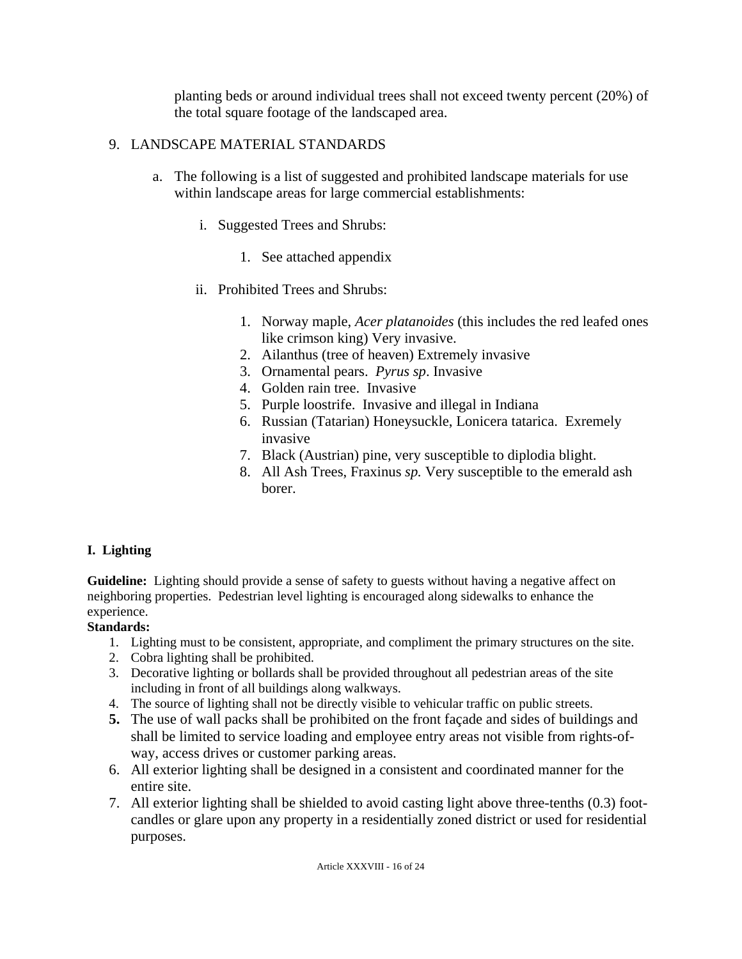planting beds or around individual trees shall not exceed twenty percent (20%) of the total square footage of the landscaped area.

## 9. LANDSCAPE MATERIAL STANDARDS

- a. The following is a list of suggested and prohibited landscape materials for use within landscape areas for large commercial establishments:
	- i. Suggested Trees and Shrubs:
		- 1. See attached appendix
	- ii. Prohibited Trees and Shrubs:
		- 1. Norway maple, *Acer platanoides* (this includes the red leafed ones like crimson king) Very invasive.
		- 2. Ailanthus (tree of heaven) Extremely invasive
		- 3. Ornamental pears. *Pyrus sp*. Invasive
		- 4. Golden rain tree. Invasive
		- 5. Purple loostrife. Invasive and illegal in Indiana
		- 6. Russian (Tatarian) Honeysuckle, Lonicera tatarica. Exremely invasive
		- 7. Black (Austrian) pine, very susceptible to diplodia blight.
		- 8. All Ash Trees, Fraxinus *sp.* Very susceptible to the emerald ash borer.

## **I. Lighting**

**Guideline:** Lighting should provide a sense of safety to guests without having a negative affect on neighboring properties. Pedestrian level lighting is encouraged along sidewalks to enhance the experience.

- 1. Lighting must to be consistent, appropriate, and compliment the primary structures on the site.
- 2. Cobra lighting shall be prohibited.
- 3. Decorative lighting or bollards shall be provided throughout all pedestrian areas of the site including in front of all buildings along walkways.
- 4. The source of lighting shall not be directly visible to vehicular traffic on public streets.
- **5.** The use of wall packs shall be prohibited on the front façade and sides of buildings and shall be limited to service loading and employee entry areas not visible from rights-ofway, access drives or customer parking areas.
- 6. All exterior lighting shall be designed in a consistent and coordinated manner for the entire site.
- 7. All exterior lighting shall be shielded to avoid casting light above three-tenths (0.3) footcandles or glare upon any property in a residentially zoned district or used for residential purposes.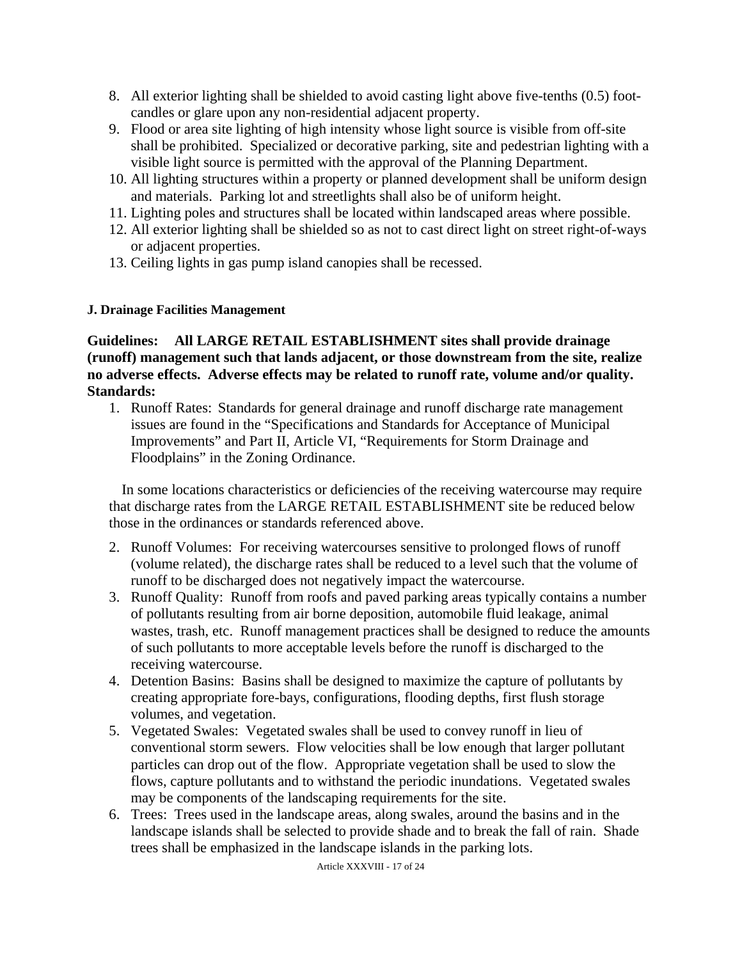- 8. All exterior lighting shall be shielded to avoid casting light above five-tenths (0.5) footcandles or glare upon any non-residential adjacent property.
- 9. Flood or area site lighting of high intensity whose light source is visible from off-site shall be prohibited. Specialized or decorative parking, site and pedestrian lighting with a visible light source is permitted with the approval of the Planning Department.
- 10. All lighting structures within a property or planned development shall be uniform design and materials. Parking lot and streetlights shall also be of uniform height.
- 11. Lighting poles and structures shall be located within landscaped areas where possible.
- 12. All exterior lighting shall be shielded so as not to cast direct light on street right-of-ways or adjacent properties.
- 13. Ceiling lights in gas pump island canopies shall be recessed.

## **J. Drainage Facilities Management**

**Guidelines: All LARGE RETAIL ESTABLISHMENT sites shall provide drainage (runoff) management such that lands adjacent, or those downstream from the site, realize no adverse effects. Adverse effects may be related to runoff rate, volume and/or quality. Standards:** 

1. Runoff Rates: Standards for general drainage and runoff discharge rate management issues are found in the "Specifications and Standards for Acceptance of Municipal Improvements" and Part II, Article VI, "Requirements for Storm Drainage and Floodplains" in the Zoning Ordinance.

In some locations characteristics or deficiencies of the receiving watercourse may require that discharge rates from the LARGE RETAIL ESTABLISHMENT site be reduced below those in the ordinances or standards referenced above.

- 2. Runoff Volumes: For receiving watercourses sensitive to prolonged flows of runoff (volume related), the discharge rates shall be reduced to a level such that the volume of runoff to be discharged does not negatively impact the watercourse.
- 3. Runoff Quality: Runoff from roofs and paved parking areas typically contains a number of pollutants resulting from air borne deposition, automobile fluid leakage, animal wastes, trash, etc. Runoff management practices shall be designed to reduce the amounts of such pollutants to more acceptable levels before the runoff is discharged to the receiving watercourse.
- 4. Detention Basins: Basins shall be designed to maximize the capture of pollutants by creating appropriate fore-bays, configurations, flooding depths, first flush storage volumes, and vegetation.
- 5. Vegetated Swales: Vegetated swales shall be used to convey runoff in lieu of conventional storm sewers. Flow velocities shall be low enough that larger pollutant particles can drop out of the flow. Appropriate vegetation shall be used to slow the flows, capture pollutants and to withstand the periodic inundations. Vegetated swales may be components of the landscaping requirements for the site.
- 6. Trees: Trees used in the landscape areas, along swales, around the basins and in the landscape islands shall be selected to provide shade and to break the fall of rain. Shade trees shall be emphasized in the landscape islands in the parking lots.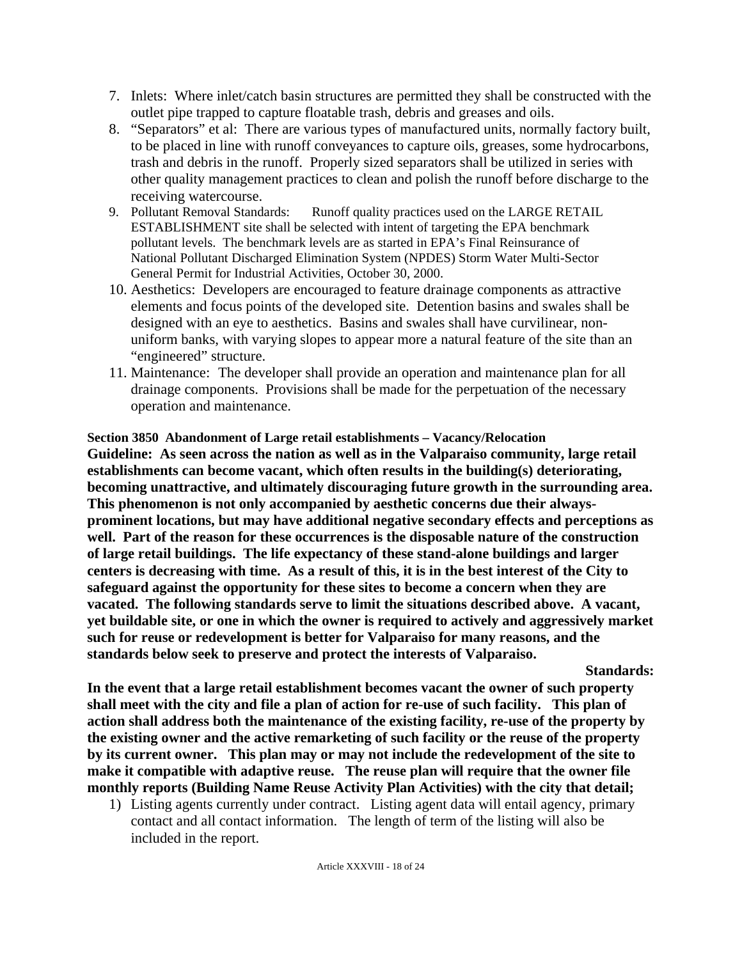- 7. Inlets: Where inlet/catch basin structures are permitted they shall be constructed with the outlet pipe trapped to capture floatable trash, debris and greases and oils.
- 8. "Separators" et al: There are various types of manufactured units, normally factory built, to be placed in line with runoff conveyances to capture oils, greases, some hydrocarbons, trash and debris in the runoff. Properly sized separators shall be utilized in series with other quality management practices to clean and polish the runoff before discharge to the receiving watercourse.
- 9. Pollutant Removal Standards: Runoff quality practices used on the LARGE RETAIL ESTABLISHMENT site shall be selected with intent of targeting the EPA benchmark pollutant levels. The benchmark levels are as started in EPA's Final Reinsurance of National Pollutant Discharged Elimination System (NPDES) Storm Water Multi-Sector General Permit for Industrial Activities, October 30, 2000.
- 10. Aesthetics: Developers are encouraged to feature drainage components as attractive elements and focus points of the developed site. Detention basins and swales shall be designed with an eye to aesthetics. Basins and swales shall have curvilinear, nonuniform banks, with varying slopes to appear more a natural feature of the site than an "engineered" structure.
- 11. Maintenance: The developer shall provide an operation and maintenance plan for all drainage components. Provisions shall be made for the perpetuation of the necessary operation and maintenance.

### **Section 3850 Abandonment of Large retail establishments – Vacancy/Relocation Guideline: As seen across the nation as well as in the Valparaiso community, large retail establishments can become vacant, which often results in the building(s) deteriorating, becoming unattractive, and ultimately discouraging future growth in the surrounding area. This phenomenon is not only accompanied by aesthetic concerns due their alwaysprominent locations, but may have additional negative secondary effects and perceptions as well. Part of the reason for these occurrences is the disposable nature of the construction of large retail buildings. The life expectancy of these stand-alone buildings and larger centers is decreasing with time. As a result of this, it is in the best interest of the City to safeguard against the opportunity for these sites to become a concern when they are vacated. The following standards serve to limit the situations described above. A vacant, yet buildable site, or one in which the owner is required to actively and aggressively market such for reuse or redevelopment is better for Valparaiso for many reasons, and the standards below seek to preserve and protect the interests of Valparaiso.**

**Standards:** 

**In the event that a large retail establishment becomes vacant the owner of such property shall meet with the city and file a plan of action for re-use of such facility. This plan of action shall address both the maintenance of the existing facility, re-use of the property by the existing owner and the active remarketing of such facility or the reuse of the property by its current owner. This plan may or may not include the redevelopment of the site to make it compatible with adaptive reuse. The reuse plan will require that the owner file monthly reports (Building Name Reuse Activity Plan Activities) with the city that detail;** 

1) Listing agents currently under contract. Listing agent data will entail agency, primary contact and all contact information. The length of term of the listing will also be included in the report.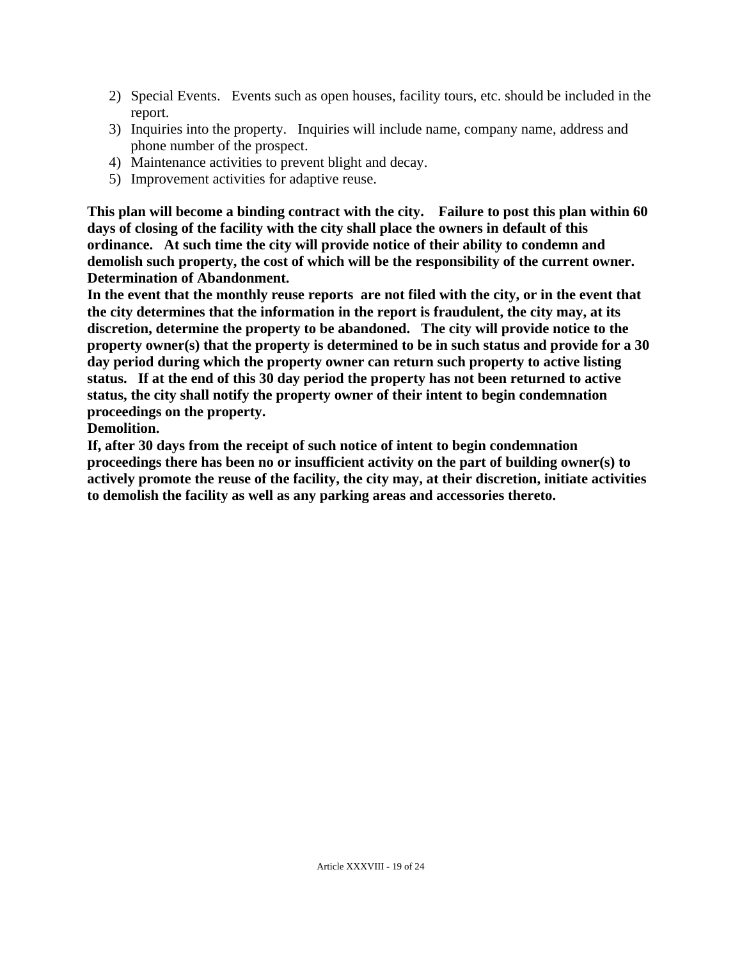- 2) Special Events. Events such as open houses, facility tours, etc. should be included in the report.
- 3) Inquiries into the property. Inquiries will include name, company name, address and phone number of the prospect.
- 4) Maintenance activities to prevent blight and decay.
- 5) Improvement activities for adaptive reuse.

**This plan will become a binding contract with the city. Failure to post this plan within 60 days of closing of the facility with the city shall place the owners in default of this ordinance. At such time the city will provide notice of their ability to condemn and demolish such property, the cost of which will be the responsibility of the current owner. Determination of Abandonment.** 

**In the event that the monthly reuse reports are not filed with the city, or in the event that the city determines that the information in the report is fraudulent, the city may, at its discretion, determine the property to be abandoned. The city will provide notice to the property owner(s) that the property is determined to be in such status and provide for a 30 day period during which the property owner can return such property to active listing status. If at the end of this 30 day period the property has not been returned to active status, the city shall notify the property owner of their intent to begin condemnation proceedings on the property.** 

**Demolition.** 

**If, after 30 days from the receipt of such notice of intent to begin condemnation proceedings there has been no or insufficient activity on the part of building owner(s) to actively promote the reuse of the facility, the city may, at their discretion, initiate activities to demolish the facility as well as any parking areas and accessories thereto.**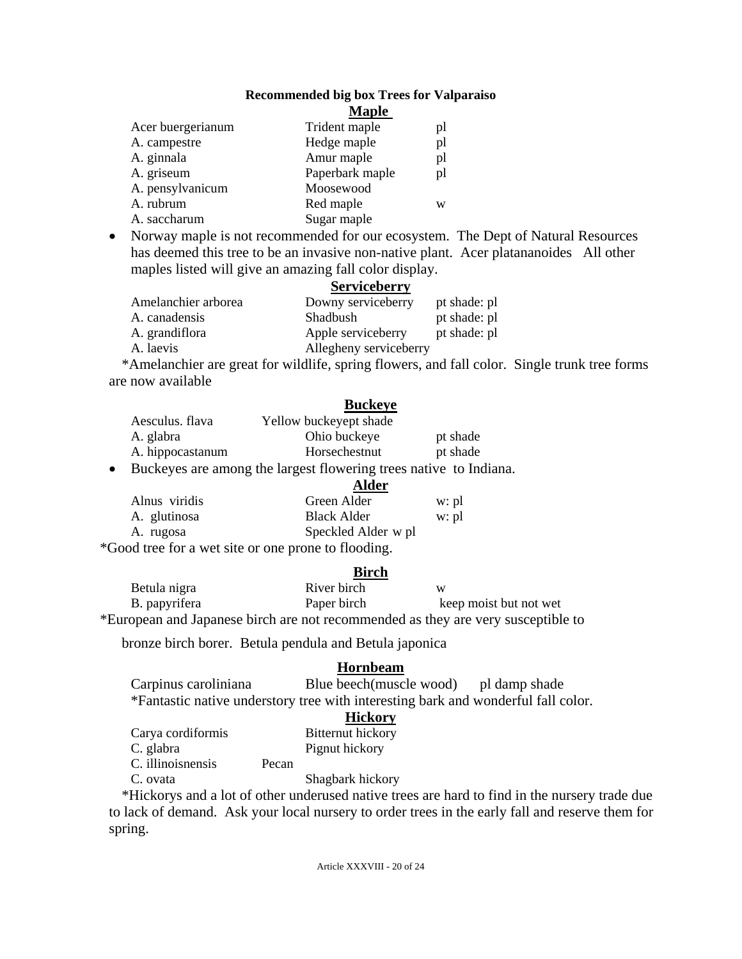#### **Recommended big box Trees for Valparaiso**

|                   | <b>Maple</b>    |    |
|-------------------|-----------------|----|
| Acer buergerianum | Trident maple   | pl |
| A. campestre      | Hedge maple     | pl |
| A. ginnala        | Amur maple      | pl |
| A. griseum        | Paperbark maple | pl |
| A. pensylvanicum  | Moosewood       |    |
| A. rubrum         | Red maple       | W  |
| A. saccharum      | Sugar maple     |    |
|                   |                 |    |

• Norway maple is not recommended for our ecosystem. The Dept of Natural Resources has deemed this tree to be an invasive non-native plant. Acer platananoides All other maples listed will give an amazing fall color display.

#### **Serviceberry**

| Amelanchier arborea | Downy serviceberry     | pt shade: pl |
|---------------------|------------------------|--------------|
| A. canadensis       | Shadbush               | pt shade: pl |
| A. grandiflora      | Apple serviceberry     | pt shade: pl |
| A. laevis           | Allegheny serviceberry |              |

\*Amelanchier are great for wildlife, spring flowers, and fall color. Single trunk tree forms are now available

#### **Buckeye**

| Aesculus, flava  | Yellow buckeyept shade |          |
|------------------|------------------------|----------|
| A. glabra        | Ohio buckeye           | pt shade |
| A. hippocastanum | Horsechestnut          | pt shade |

• Buckeyes are among the largest flowering trees native to Indiana.

|                                                                                             | Alder               |       |
|---------------------------------------------------------------------------------------------|---------------------|-------|
| Alnus viridis                                                                               | Green Alder         | w: pl |
| A. glutinosa                                                                                | <b>Black Alder</b>  | w: pl |
| A. rugosa                                                                                   | Speckled Alder w pl |       |
| $*$ $\alpha$ . There is a contract of the second contract of $\alpha$ , $\alpha$ , $\alpha$ |                     |       |

\*Good tree for a wet site or one prone to flooding.

#### **Birch**

| Betula nigra  | River birch | W                                                                                |
|---------------|-------------|----------------------------------------------------------------------------------|
| B. papyrifera | Paper birch | keep moist but not wet                                                           |
|               |             | *European and Japanese birch are not recommended as they are very susceptible to |

bronze birch borer. Betula pendula and Betula japonica

#### **Hornbeam**

| Carpinus caroliniana | Blue beech(muscle wood)                                                           | pl damp shade |
|----------------------|-----------------------------------------------------------------------------------|---------------|
|                      | *Fantastic native understory tree with interesting bark and wonderful fall color. |               |

### **Hickory**

| Carya cordiformis |       | Bitternut hickory |
|-------------------|-------|-------------------|
| C. glabra         |       | Pignut hickory    |
| C. illinoisnensis | Pecan |                   |

C. ovata Shagbark hickory

\*Hickorys and a lot of other underused native trees are hard to find in the nursery trade due to lack of demand. Ask your local nursery to order trees in the early fall and reserve them for spring.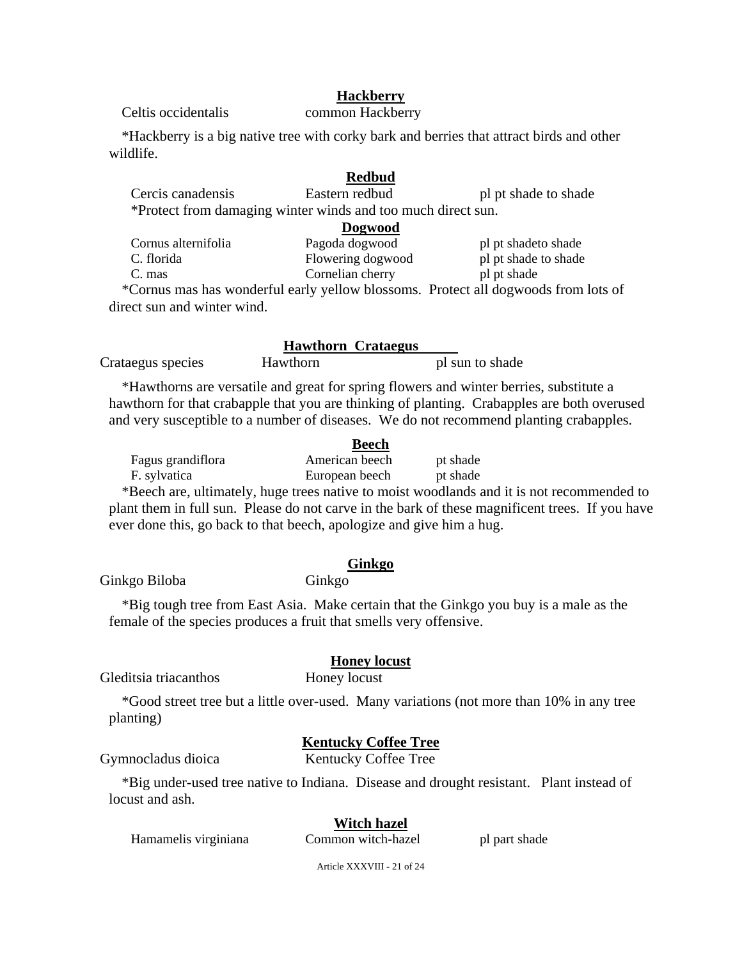### **Hackberry**

Celtis occidentalis common Hackberry

\*Hackberry is a big native tree with corky bark and berries that attract birds and other wildlife.

#### **Redbud**

Cercis canadensis Eastern redbud pl pt shade to shade \*Protect from damaging winter winds and too much direct sun.

|                     | Dogwood           |                      |
|---------------------|-------------------|----------------------|
| Cornus alternifolia | Pagoda dogwood    | pl pt shade to shade |
| C. florida          | Flowering dogwood | pl pt shade to shade |
| C. mas              | Cornelian cherry  | pl pt shade          |
|                     |                   |                      |

\*Cornus mas has wonderful early yellow blossoms. Protect all dogwoods from lots of direct sun and winter wind.

#### **Hawthorn Crataegus**

Crataegus species Hawthorn pl sun to shade

\*Hawthorns are versatile and great for spring flowers and winter berries, substitute a hawthorn for that crabapple that you are thinking of planting. Crabapples are both overused and very susceptible to a number of diseases. We do not recommend planting crabapples.

|                   | <b>Beech</b>   |          |
|-------------------|----------------|----------|
| Fagus grandiflora | American beech | pt shade |
| F. sylvatica      | European beech | pt shade |

\*Beech are, ultimately, huge trees native to moist woodlands and it is not recommended to plant them in full sun. Please do not carve in the bark of these magnificent trees. If you have ever done this, go back to that beech, apologize and give him a hug.

#### **Ginkgo**

Ginkgo Biloba Ginkgo

\*Big tough tree from East Asia. Make certain that the Ginkgo you buy is a male as the female of the species produces a fruit that smells very offensive.

#### **Honey locust**

Gleditsia triacanthos Honey locust

\*Good street tree but a little over-used. Many variations (not more than 10% in any tree planting)

#### **Kentucky Coffee Tree**

Gymnocladus dioica Kentucky Coffee Tree

\*Big under-used tree native to Indiana. Disease and drought resistant. Plant instead of locust and ash.

## **Witch hazel**

Hamamelis virginiana Common witch-hazel pl part shade

Article XXXVIII - 21 of 24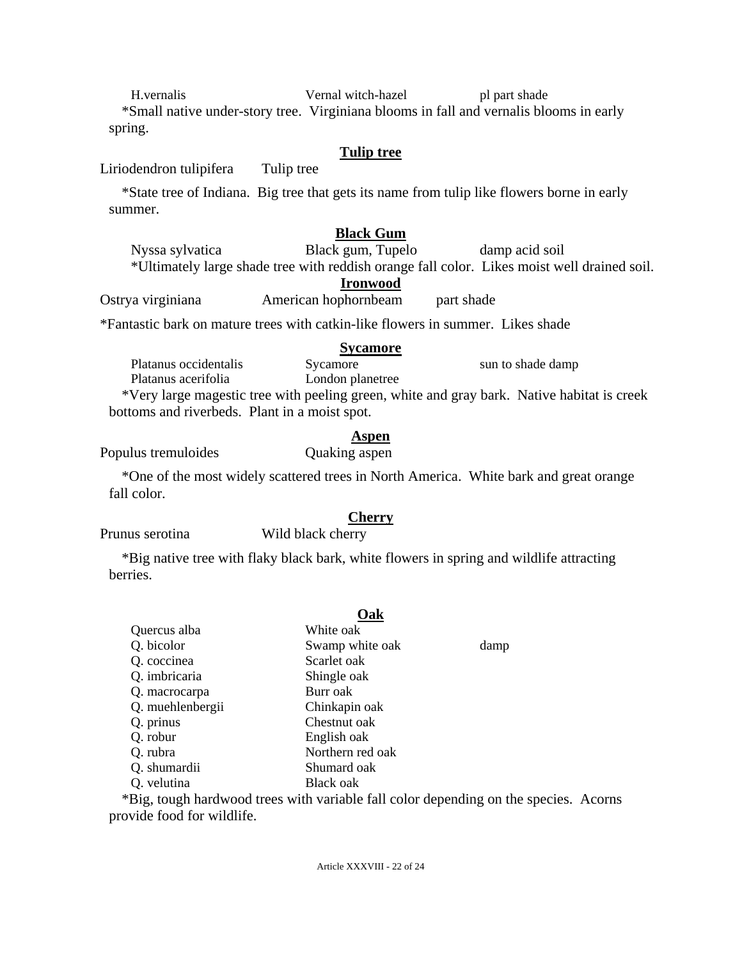H.vernalis Vernal witch-hazel pl part shade \*Small native under-story tree. Virginiana blooms in fall and vernalis blooms in early spring.

### **Tulip tree**

Liriodendron tulipifera Tulip tree

\*State tree of Indiana. Big tree that gets its name from tulip like flowers borne in early summer.

## **Black Gum**

Nyssa sylvatica Black gum, Tupelo damp acid soil \*Ultimately large shade tree with reddish orange fall color. Likes moist well drained soil.

### **Ironwood**

Ostrya virginiana American hophornbeam part shade

\*Fantastic bark on mature trees with catkin-like flowers in summer. Likes shade

|                                                                                            | <b>Sycamore</b>  |                   |
|--------------------------------------------------------------------------------------------|------------------|-------------------|
| Platanus occidentalis                                                                      | Sycamore         | sun to shade damp |
| Platanus acerifolia                                                                        | London planetree |                   |
| *Very large magestic tree with peeling green, white and gray bark. Native habitat is creek |                  |                   |
| bottoms and riverbeds. Plant in a moist spot.                                              |                  |                   |

## **Aspen**

Populus tremuloides Quaking aspen

\*One of the most widely scattered trees in North America. White bark and great orange fall color.

## **Cherry**

Prunus serotina Wild black cherry

\*Big native tree with flaky black bark, white flowers in spring and wildlife attracting berries.

## **Oak**

| Quercus alba     | White oak                                 |  |
|------------------|-------------------------------------------|--|
| Q. bicolor       | Swamp white oak<br>damp                   |  |
| Q. coccinea      | Scarlet oak                               |  |
| Q. imbricaria    | Shingle oak                               |  |
| Q. macrocarpa    | Burr oak                                  |  |
| Q. muehlenbergii | Chinkapin oak                             |  |
| Q. prinus        | Chestnut oak                              |  |
| Q. robur         | English oak                               |  |
| Q. rubra         | Northern red oak                          |  |
| Q. shumardii     | Shumard oak                               |  |
| Q. velutina      | Black oak                                 |  |
|                  | $\ast$ 0. $(11 \ 1 \ 1)$ $(11 \ 11 \ 11)$ |  |

\*Big, tough hardwood trees with variable fall color depending on the species. Acorns provide food for wildlife.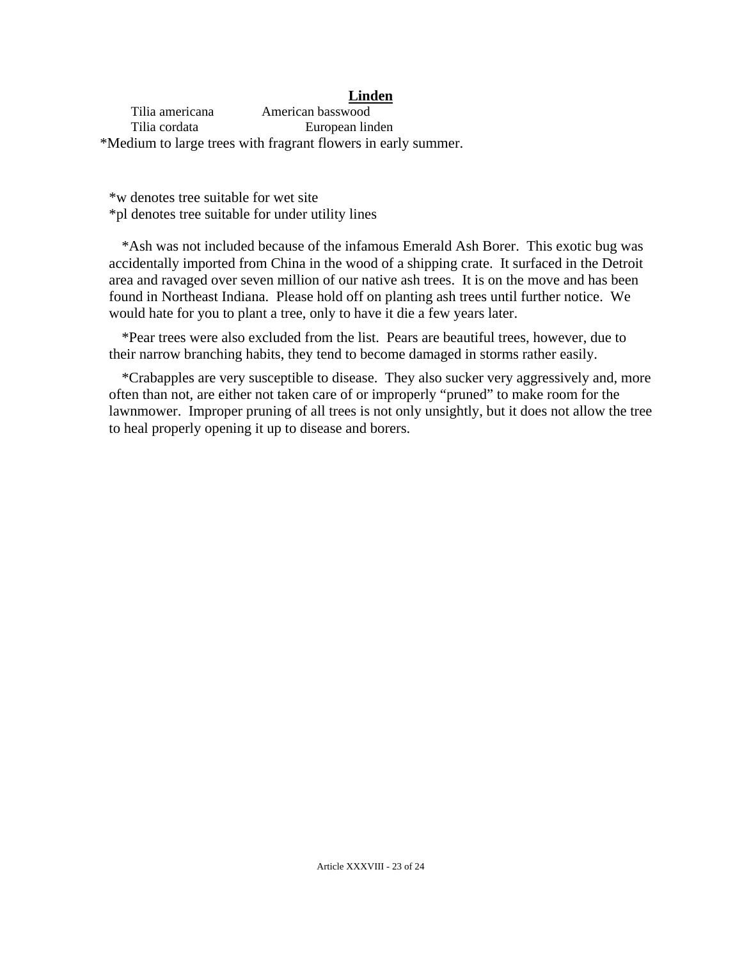#### **Linden**

 Tilia americana American basswood Tilia cordata European linden \*Medium to large trees with fragrant flowers in early summer.

\*w denotes tree suitable for wet site \*pl denotes tree suitable for under utility lines

\*Ash was not included because of the infamous Emerald Ash Borer. This exotic bug was accidentally imported from China in the wood of a shipping crate. It surfaced in the Detroit area and ravaged over seven million of our native ash trees. It is on the move and has been found in Northeast Indiana. Please hold off on planting ash trees until further notice. We would hate for you to plant a tree, only to have it die a few years later.

\*Pear trees were also excluded from the list. Pears are beautiful trees, however, due to their narrow branching habits, they tend to become damaged in storms rather easily.

\*Crabapples are very susceptible to disease. They also sucker very aggressively and, more often than not, are either not taken care of or improperly "pruned" to make room for the lawnmower. Improper pruning of all trees is not only unsightly, but it does not allow the tree to heal properly opening it up to disease and borers.